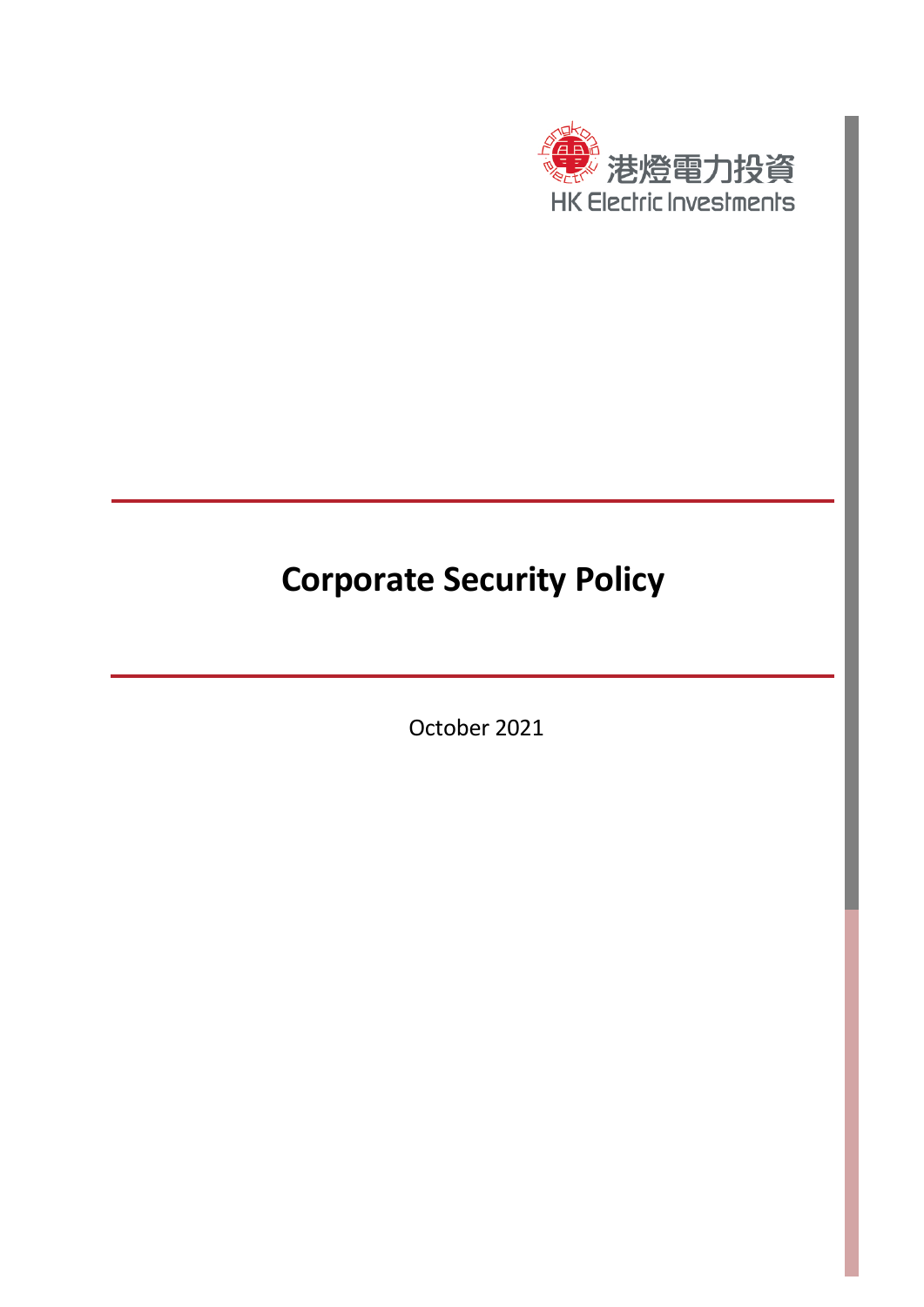

## **Corporate Security Policy**

October 2021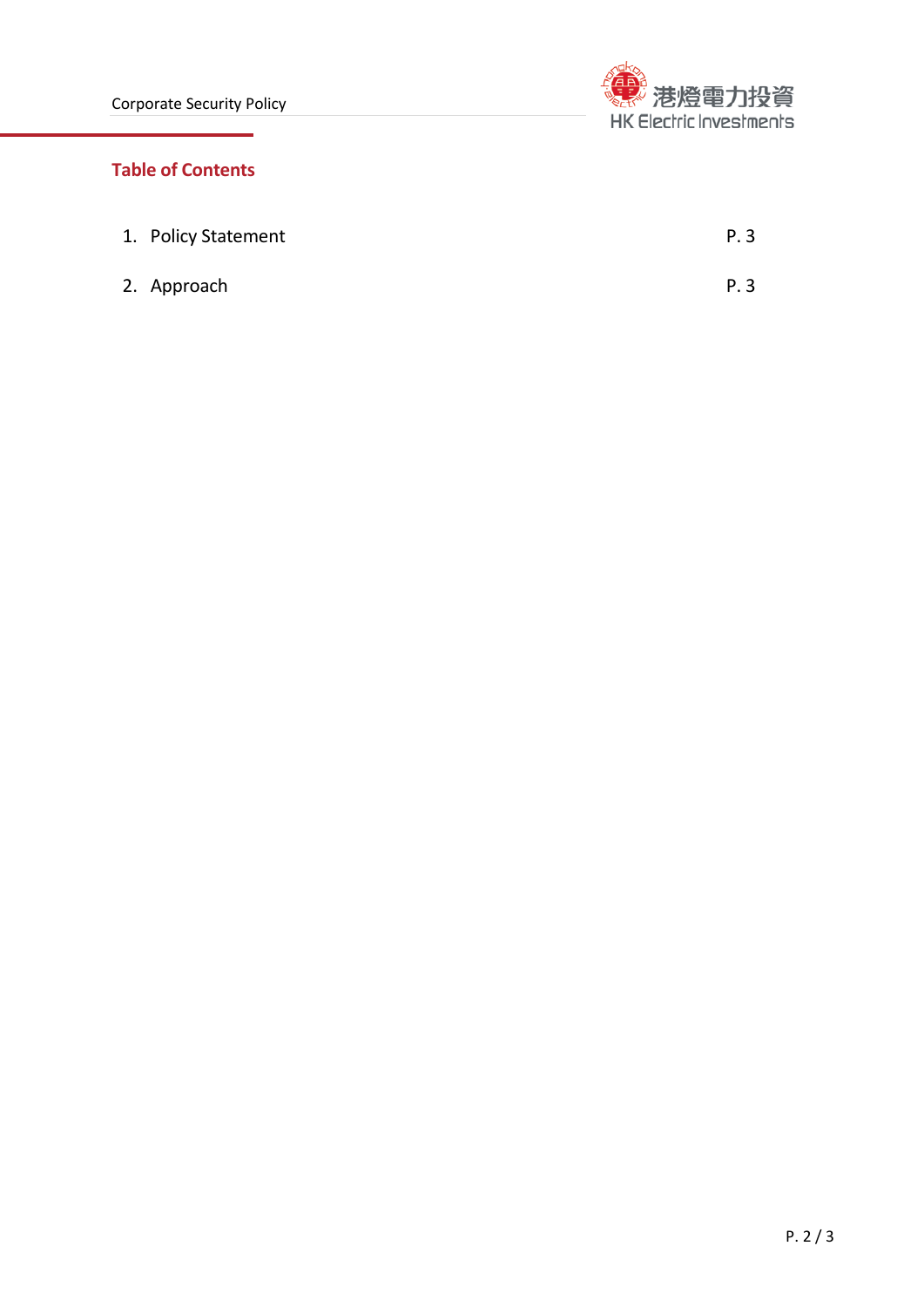

## **Table of Contents**

| 1. Policy Statement | P. 3 |
|---------------------|------|
| 2. Approach         | P. 3 |